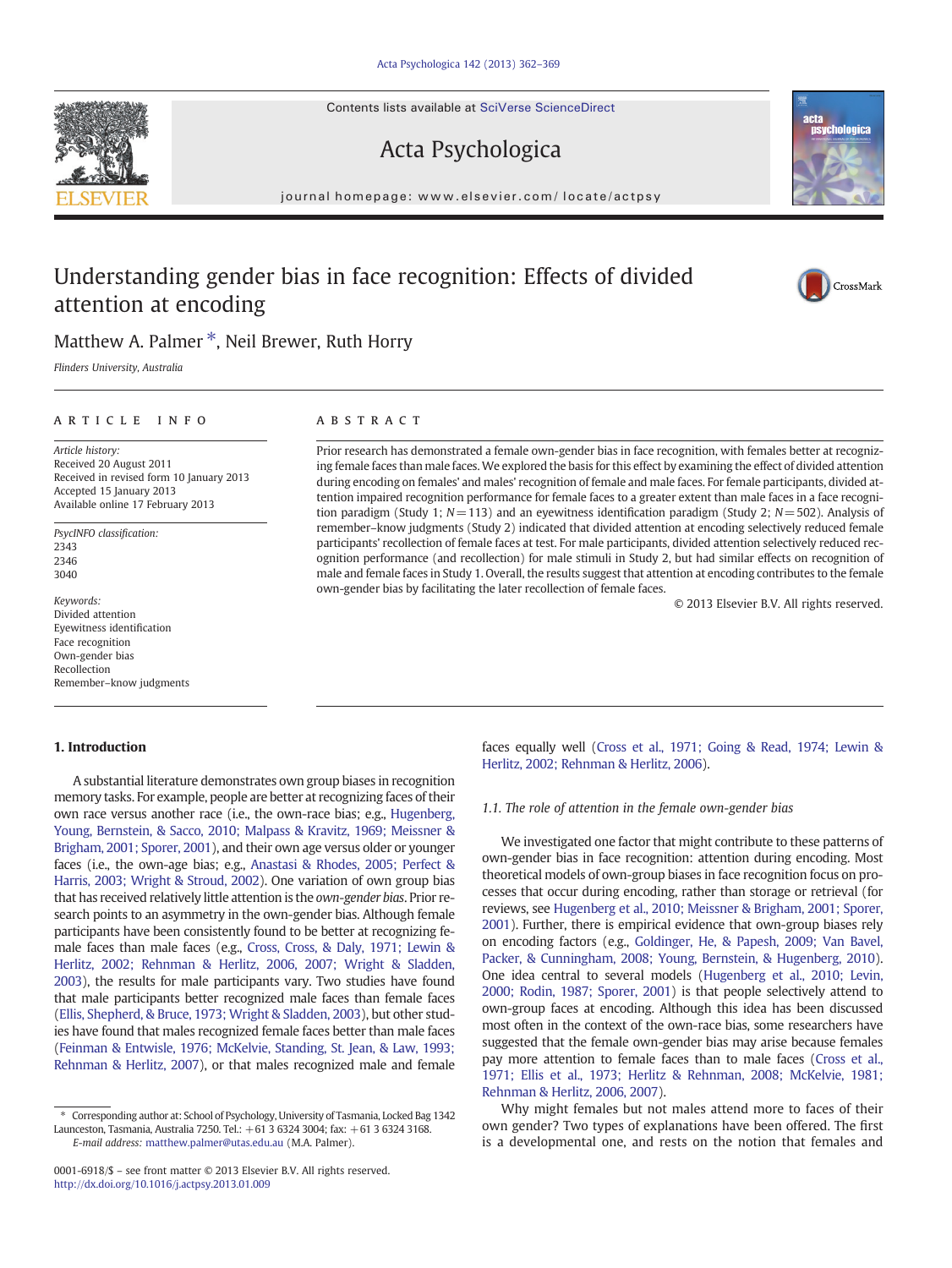Contents lists available at SciVerse ScienceDirect

## Acta Psychologica

journal homepage: www.elsevier.com/ locate/actpsy

# Understanding gender bias in face recognition: Effects of divided attention at encoding

### Matthew A. Palmer<sup>\*</sup>, Neil Brewer, Ruth Horry

Flinders University, Australia

### article info abstract

Article history: Received 20 August 2011 Received in revised form 10 January 2013 Accepted 15 January 2013 Available online 17 February 2013

PsycINFO classification: 2343 2346 3040

Keywords: Divided attention Eyewitness identification Face recognition Own-gender bias Recollection Remember–know judgments

#### 1. Introduction

A substantial literature demonstrates own group biases in recognition memory tasks. For example, people are better at recognizing faces of their own race versus another race (i.e., the own-race bias; e.g., [Hugenberg,](#page--1-0) [Young, Bernstein, & Sacco, 2010; Malpass & Kravitz, 1969; Meissner &](#page--1-0) [Brigham, 2001; Sporer, 2001](#page--1-0)), and their own age versus older or younger faces (i.e., the own-age bias; e.g., [Anastasi & Rhodes, 2005; Perfect &](#page--1-0) [Harris, 2003; Wright & Stroud, 2002](#page--1-0)). One variation of own group bias that has received relatively little attention is the own-gender bias. Prior research points to an asymmetry in the own-gender bias. Although female participants have been consistently found to be better at recognizing female faces than male faces (e.g., [Cross, Cross, & Daly, 1971; Lewin &](#page--1-0) [Herlitz, 2002; Rehnman & Herlitz, 2006, 2007; Wright & Sladden,](#page--1-0) [2003](#page--1-0)), the results for male participants vary. Two studies have found that male participants better recognized male faces than female faces [\(Ellis, Shepherd, & Bruce, 1973; Wright & Sladden, 2003\)](#page--1-0), but other studies have found that males recognized female faces better than male faces [\(Feinman & Entwisle, 1976; McKelvie, Standing, St. Jean, & Law, 1993;](#page--1-0) [Rehnman & Herlitz, 2007\)](#page--1-0), or that males recognized male and female

0001-6918/\$ – see front matter © 2013 Elsevier B.V. All rights reserved. <http://dx.doi.org/10.1016/j.actpsy.2013.01.009>

Prior research has demonstrated a female own-gender bias in face recognition, with females better at recognizing female faces than male faces.We explored the basis for this effect by examining the effect of divided attention during encoding on females' and males' recognition of female and male faces. For female participants, divided attention impaired recognition performance for female faces to a greater extent than male faces in a face recognition paradigm (Study 1;  $N=113$ ) and an eyewitness identification paradigm (Study 2;  $N=502$ ). Analysis of remember–know judgments (Study 2) indicated that divided attention at encoding selectively reduced female participants' recollection of female faces at test. For male participants, divided attention selectively reduced recognition performance (and recollection) for male stimuli in Study 2, but had similar effects on recognition of male and female faces in Study 1. Overall, the results suggest that attention at encoding contributes to the female own-gender bias by facilitating the later recollection of female faces.

© 2013 Elsevier B.V. All rights reserved.

faces equally well [\(Cross et al., 1971; Going & Read, 1974; Lewin &](#page--1-0) [Herlitz, 2002; Rehnman & Herlitz, 2006](#page--1-0)).

#### 1.1. The role of attention in the female own-gender bias

We investigated one factor that might contribute to these patterns of own-gender bias in face recognition: attention during encoding. Most theoretical models of own-group biases in face recognition focus on processes that occur during encoding, rather than storage or retrieval (for reviews, see [Hugenberg et al., 2010; Meissner & Brigham, 2001; Sporer,](#page--1-0) [2001](#page--1-0)). Further, there is empirical evidence that own-group biases rely on encoding factors (e.g., [Goldinger, He, & Papesh, 2009; Van Bavel,](#page--1-0) [Packer, & Cunningham, 2008; Young, Bernstein, & Hugenberg, 2010\)](#page--1-0). One idea central to several models [\(Hugenberg et al., 2010; Levin,](#page--1-0) [2000; Rodin, 1987; Sporer, 2001\)](#page--1-0) is that people selectively attend to own-group faces at encoding. Although this idea has been discussed most often in the context of the own-race bias, some researchers have suggested that the female own-gender bias may arise because females pay more attention to female faces than to male faces [\(Cross et al.,](#page--1-0) [1971; Ellis et al., 1973; Herlitz & Rehnman, 2008; McKelvie, 1981;](#page--1-0) [Rehnman & Herlitz, 2006, 2007\)](#page--1-0).

Why might females but not males attend more to faces of their own gender? Two types of explanations have been offered. The first is a developmental one, and rests on the notion that females and





CrossMark

<sup>⁎</sup> Corresponding author at: School of Psychology, University of Tasmania, Locked Bag 1342 Launceston, Tasmania, Australia 7250. Tel.: +61 3 6324 3004; fax: +61 3 6324 3168. E-mail address: [matthew.palmer@utas.edu.au](mailto:matthew.palmer@utas.edu.au) (M.A. Palmer).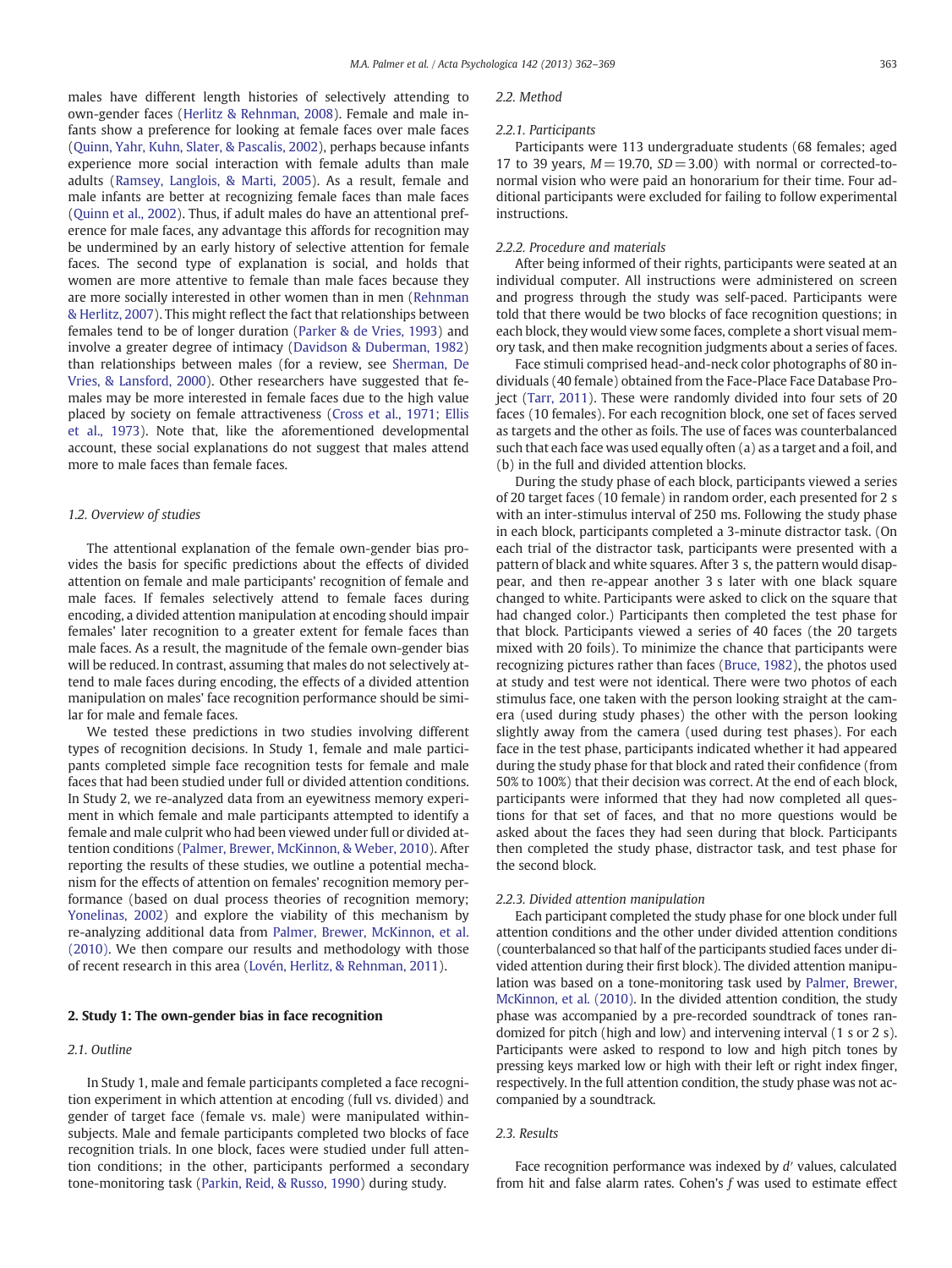males have different length histories of selectively attending to own-gender faces ([Herlitz & Rehnman, 2008\)](#page--1-0). Female and male infants show a preference for looking at female faces over male faces [\(Quinn, Yahr, Kuhn, Slater, & Pascalis, 2002\)](#page--1-0), perhaps because infants experience more social interaction with female adults than male adults [\(Ramsey, Langlois, & Marti, 2005\)](#page--1-0). As a result, female and male infants are better at recognizing female faces than male faces [\(Quinn et al., 2002\)](#page--1-0). Thus, if adult males do have an attentional preference for male faces, any advantage this affords for recognition may be undermined by an early history of selective attention for female faces. The second type of explanation is social, and holds that women are more attentive to female than male faces because they are more socially interested in other women than in men ([Rehnman](#page--1-0) [& Herlitz, 2007](#page--1-0)). This might reflect the fact that relationships between females tend to be of longer duration ([Parker & de Vries, 1993\)](#page--1-0) and involve a greater degree of intimacy ([Davidson & Duberman, 1982](#page--1-0)) than relationships between males (for a review, see [Sherman, De](#page--1-0) [Vries, & Lansford, 2000\)](#page--1-0). Other researchers have suggested that females may be more interested in female faces due to the high value placed by society on female attractiveness ([Cross et al., 1971; Ellis](#page--1-0) [et al., 1973\)](#page--1-0). Note that, like the aforementioned developmental account, these social explanations do not suggest that males attend more to male faces than female faces.

#### 1.2. Overview of studies

The attentional explanation of the female own-gender bias provides the basis for specific predictions about the effects of divided attention on female and male participants' recognition of female and male faces. If females selectively attend to female faces during encoding, a divided attention manipulation at encoding should impair females' later recognition to a greater extent for female faces than male faces. As a result, the magnitude of the female own-gender bias will be reduced. In contrast, assuming that males do not selectively attend to male faces during encoding, the effects of a divided attention manipulation on males' face recognition performance should be similar for male and female faces.

We tested these predictions in two studies involving different types of recognition decisions. In Study 1, female and male participants completed simple face recognition tests for female and male faces that had been studied under full or divided attention conditions. In Study 2, we re-analyzed data from an eyewitness memory experiment in which female and male participants attempted to identify a female and male culprit who had been viewed under full or divided attention conditions [\(Palmer, Brewer, McKinnon, & Weber, 2010](#page--1-0)). After reporting the results of these studies, we outline a potential mechanism for the effects of attention on females' recognition memory performance (based on dual process theories of recognition memory; [Yonelinas, 2002](#page--1-0)) and explore the viability of this mechanism by re-analyzing additional data from [Palmer, Brewer, McKinnon, et al.](#page--1-0) [\(2010\).](#page--1-0) We then compare our results and methodology with those of recent research in this area ([Lovén, Herlitz, & Rehnman, 2011\)](#page--1-0).

#### 2. Study 1: The own-gender bias in face recognition

#### 2.1. Outline

In Study 1, male and female participants completed a face recognition experiment in which attention at encoding (full vs. divided) and gender of target face (female vs. male) were manipulated withinsubjects. Male and female participants completed two blocks of face recognition trials. In one block, faces were studied under full attention conditions; in the other, participants performed a secondary tone-monitoring task [\(Parkin, Reid, & Russo, 1990](#page--1-0)) during study.

#### 2.2. Method

#### 2.2.1. Participants

Participants were 113 undergraduate students (68 females; aged 17 to 39 years,  $M=19.70$ ,  $SD=3.00$ ) with normal or corrected-tonormal vision who were paid an honorarium for their time. Four additional participants were excluded for failing to follow experimental instructions.

#### 2.2.2. Procedure and materials

After being informed of their rights, participants were seated at an individual computer. All instructions were administered on screen and progress through the study was self-paced. Participants were told that there would be two blocks of face recognition questions; in each block, they would view some faces, complete a short visual memory task, and then make recognition judgments about a series of faces.

Face stimuli comprised head-and-neck color photographs of 80 individuals (40 female) obtained from the Face-Place Face Database Project [\(Tarr, 2011](#page--1-0)). These were randomly divided into four sets of 20 faces (10 females). For each recognition block, one set of faces served as targets and the other as foils. The use of faces was counterbalanced such that each face was used equally often (a) as a target and a foil, and (b) in the full and divided attention blocks.

During the study phase of each block, participants viewed a series of 20 target faces (10 female) in random order, each presented for 2 s with an inter-stimulus interval of 250 ms. Following the study phase in each block, participants completed a 3-minute distractor task. (On each trial of the distractor task, participants were presented with a pattern of black and white squares. After 3 s, the pattern would disappear, and then re-appear another 3 s later with one black square changed to white. Participants were asked to click on the square that had changed color.) Participants then completed the test phase for that block. Participants viewed a series of 40 faces (the 20 targets mixed with 20 foils). To minimize the chance that participants were recognizing pictures rather than faces [\(Bruce, 1982](#page--1-0)), the photos used at study and test were not identical. There were two photos of each stimulus face, one taken with the person looking straight at the camera (used during study phases) the other with the person looking slightly away from the camera (used during test phases). For each face in the test phase, participants indicated whether it had appeared during the study phase for that block and rated their confidence (from 50% to 100%) that their decision was correct. At the end of each block, participants were informed that they had now completed all questions for that set of faces, and that no more questions would be asked about the faces they had seen during that block. Participants then completed the study phase, distractor task, and test phase for the second block.

#### 2.2.3. Divided attention manipulation

Each participant completed the study phase for one block under full attention conditions and the other under divided attention conditions (counterbalanced so that half of the participants studied faces under divided attention during their first block). The divided attention manipulation was based on a tone-monitoring task used by [Palmer, Brewer,](#page--1-0) [McKinnon, et al. \(2010\).](#page--1-0) In the divided attention condition, the study phase was accompanied by a pre-recorded soundtrack of tones randomized for pitch (high and low) and intervening interval (1 s or 2 s). Participants were asked to respond to low and high pitch tones by pressing keys marked low or high with their left or right index finger, respectively. In the full attention condition, the study phase was not accompanied by a soundtrack.

#### 2.3. Results

Face recognition performance was indexed by d′ values, calculated from hit and false alarm rates. Cohen's f was used to estimate effect